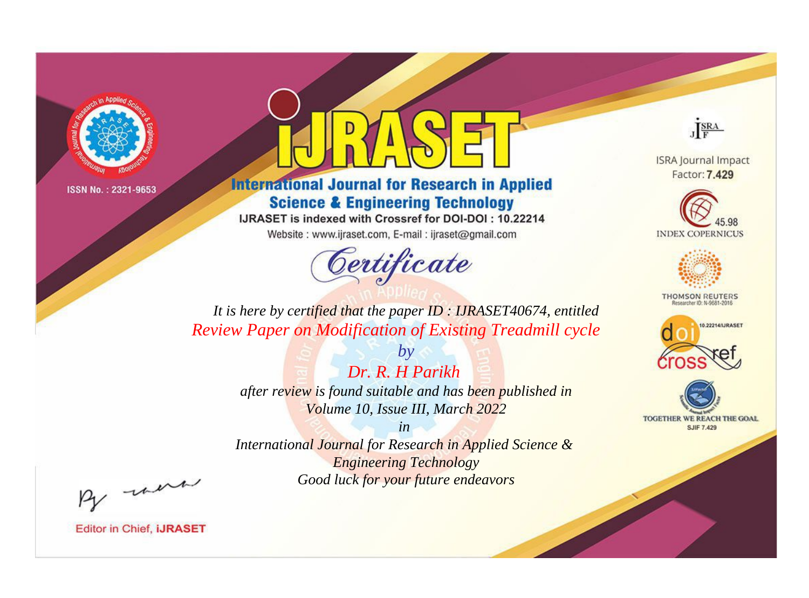

# **International Journal for Research in Applied Science & Engineering Technology**

IJRASET is indexed with Crossref for DOI-DOI: 10.22214

Website: www.ijraset.com, E-mail: ijraset@gmail.com



JERA

**ISRA Journal Impact** Factor: 7.429





**THOMSON REUTERS** 



TOGETHER WE REACH THE GOAL **SJIF 7.429** 

*It is here by certified that the paper ID : IJRASET40674, entitled Review Paper on Modification of Existing Treadmill cycle*

> *by Dr. R. H Parikh after review is found suitable and has been published in Volume 10, Issue III, March 2022*

> > *in*

*International Journal for Research in Applied Science & Engineering Technology Good luck for your future endeavors*

By morn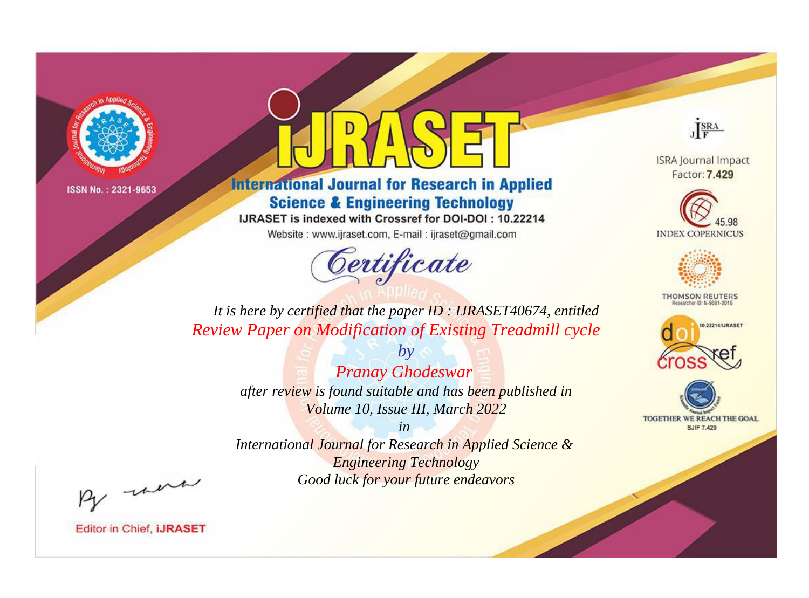

# **International Journal for Research in Applied Science & Engineering Technology**

IJRASET is indexed with Crossref for DOI-DOI: 10.22214

Website: www.ijraset.com, E-mail: ijraset@gmail.com



JERA

**ISRA Journal Impact** Factor: 7.429





**THOMSON REUTERS** 



TOGETHER WE REACH THE GOAL **SJIF 7.429** 

*It is here by certified that the paper ID : IJRASET40674, entitled Review Paper on Modification of Existing Treadmill cycle*

> *by Pranay Ghodeswar after review is found suitable and has been published in Volume 10, Issue III, March 2022*

> > *in*

*International Journal for Research in Applied Science & Engineering Technology Good luck for your future endeavors*

By morn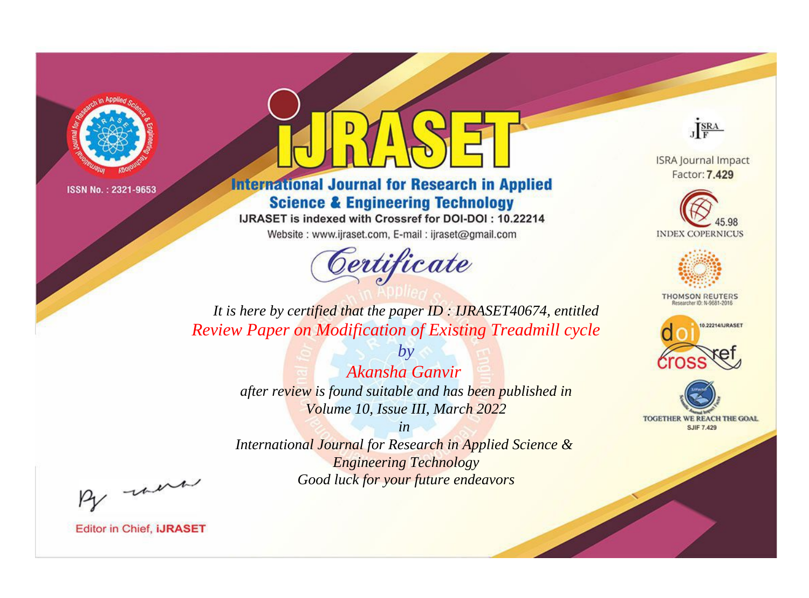

# **International Journal for Research in Applied Science & Engineering Technology**

IJRASET is indexed with Crossref for DOI-DOI: 10.22214

Website: www.ijraset.com, E-mail: ijraset@gmail.com



JERA

**ISRA Journal Impact** Factor: 7.429





**THOMSON REUTERS** 



TOGETHER WE REACH THE GOAL **SJIF 7.429** 

*It is here by certified that the paper ID : IJRASET40674, entitled Review Paper on Modification of Existing Treadmill cycle*

> *Akansha Ganvir after review is found suitable and has been published in Volume 10, Issue III, March 2022*

*by*

*in* 

*International Journal for Research in Applied Science & Engineering Technology Good luck for your future endeavors*

By morn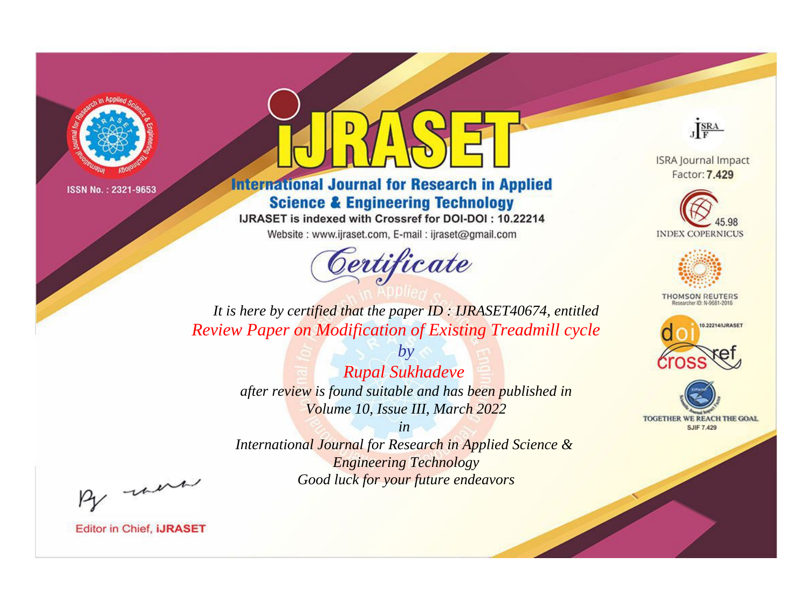

# **International Journal for Research in Applied Science & Engineering Technology**

IJRASET is indexed with Crossref for DOI-DOI: 10.22214

Website: www.ijraset.com, E-mail: ijraset@gmail.com



JERA

**ISRA Journal Impact** Factor: 7.429





**THOMSON REUTERS** 



TOGETHER WE REACH THE GOAL **SJIF 7.429** 

*It is here by certified that the paper ID : IJRASET40674, entitled Review Paper on Modification of Existing Treadmill cycle*

> *by Rupal Sukhadeve after review is found suitable and has been published in Volume 10, Issue III, March 2022*

> > *in*

*International Journal for Research in Applied Science & Engineering Technology Good luck for your future endeavors*

By morn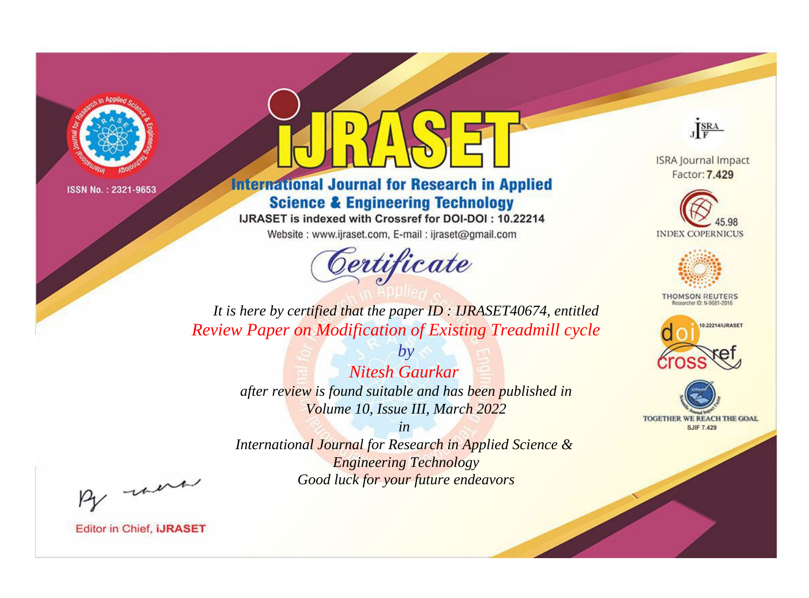

# **International Journal for Research in Applied Science & Engineering Technology**

IJRASET is indexed with Crossref for DOI-DOI: 10.22214

Website: www.ijraset.com, E-mail: ijraset@gmail.com



JERA

**ISRA Journal Impact** Factor: 7.429





**THOMSON REUTERS** 



TOGETHER WE REACH THE GOAL **SJIF 7.429** 

It is here by certified that the paper ID: IJRASET40674, entitled Review Paper on Modification of Existing Treadmill cycle

> **Nitesh Gaurkar** after review is found suitable and has been published in Volume 10, Issue III, March 2022

 $b\nu$ 

 $in$ International Journal for Research in Applied Science & **Engineering Technology** Good luck for your future endeavors

By morn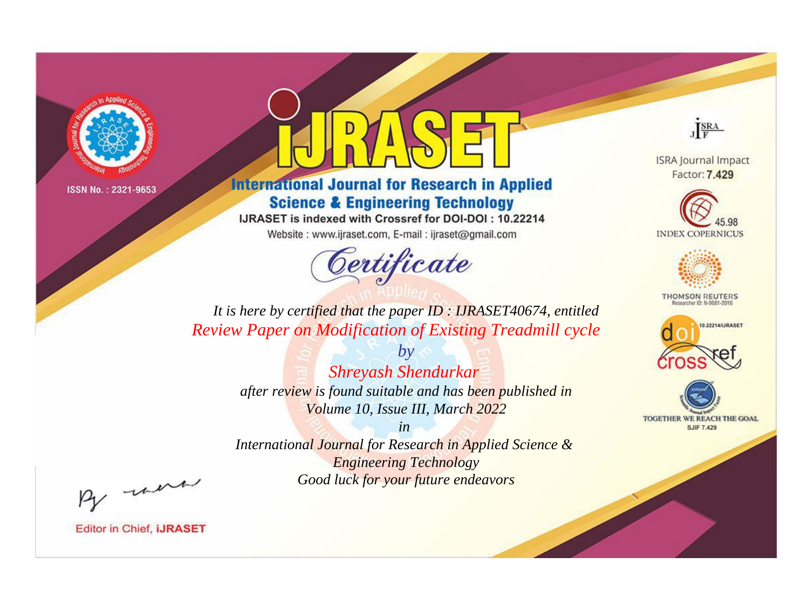

# **International Journal for Research in Applied Science & Engineering Technology**

IJRASET is indexed with Crossref for DOI-DOI: 10.22214

Website: www.ijraset.com, E-mail: ijraset@gmail.com



JERA

**ISRA Journal Impact** Factor: 7.429





**THOMSON REUTERS** 



TOGETHER WE REACH THE GOAL **SJIF 7.429** 

It is here by certified that the paper ID: IJRASET40674, entitled Review Paper on Modification of Existing Treadmill cycle

> $b\nu$ Shreyash Shendurkar after review is found suitable and has been published in Volume 10, Issue III, March 2022

> $in$ International Journal for Research in Applied Science & **Engineering Technology** Good luck for your future endeavors

By morn